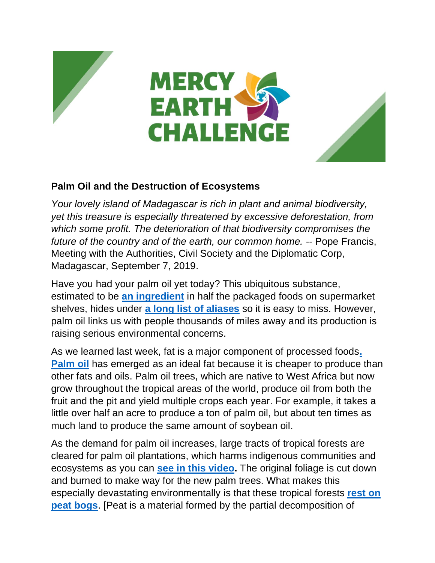





## **Palm Oil and the Destruction of Ecosystems**

*Your lovely island of Madagascar is rich in plant and animal biodiversity, yet this treasure is especially threatened by excessive deforestation, from which some profit. The deterioration of that biodiversity compromises the future of the country and of the earth, our common home.* -- Pope Francis, Meeting with the Authorities, Civil Society and the Diplomatic Corp, Madagascar, September 7, 2019.

Have you had your palm oil yet today? This ubiquitous substance, estimated to be **[an ingredient](https://www.theguardian.com/news/2019/feb/19/palm-oil-ingredient-biscuits-shampoo-environmental)** in half the packaged foods on supermarket shelves, hides under **[a long list of aliases](https://www.ran.org/the-understory/palm_oil_s_dirty_secret_the_many_ingredient_names_for_palm_oil/)** so it is easy to miss. However, palm oil links us with people thousands of miles away and its production is raising serious environmental concerns.

As we learned last week, fat is a major component of processed foods**[.](https://www.worldwildlife.org/industries/palm-oil)  [Palm oil](https://www.worldwildlife.org/industries/palm-oil)** has emerged as an ideal fat because it is cheaper to produce than other fats and oils. Palm oil trees, which are native to West Africa but now grow throughout the tropical areas of the world, produce oil from both the fruit and the pit and yield multiple crops each year. For example, it takes a little over half an acre to produce a ton of palm oil, but about ten times as much land to produce the same amount of soybean oil.

As the demand for palm oil increases, large tracts of tropical forests are cleared for palm oil plantations, which harms indigenous communities and ecosystems as you can **[see in this video.](https://www.youtube.com/watch?v=igSH1slGS5Q&feature=emb_logo)** The original foliage is cut down and burned to make way for the new palm trees. What makes this especially devastating environmentally is that these tropical forests **[rest on](https://www.unenvironment.org/news-and-stories/story/peatlands-store-twice-much-carbon-all-worlds-forests)  [peat bogs](https://www.unenvironment.org/news-and-stories/story/peatlands-store-twice-much-carbon-all-worlds-forests)**. [Peat is a material formed by the partial decomposition of